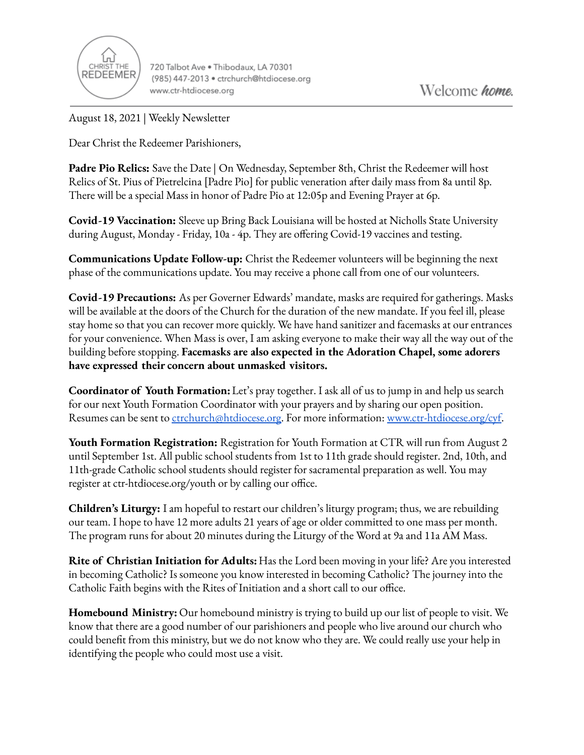

720 Talbot Ave . Thibodaux, LA 70301 (985) 447-2013 · ctrchurch@htdiocese.org www.ctr-htdiocese.org

August 18, 2021 | Weekly Newsletter

Dear Christ the Redeemer Parishioners,

**Padre Pio Relics:** Save the Date | On Wednesday, September 8th, Christ the Redeemer will host Relics of St. Pius of Pietrelcina [Padre Pio] for public veneration after daily mass from 8a until 8p. There will be a special Mass in honor of Padre Pio at 12:05p and Evening Prayer at 6p.

**Covid-19 Vaccination:** Sleeve up Bring Back Louisiana will be hosted at Nicholls State University during August, Monday - Friday, 10a - 4p. They are offering Covid-19 vaccines and testing.

**Communications Update Follow-up:** Christ the Redeemer volunteers will be beginning the next phase of the communications update. You may receive a phone call from one of our volunteers.

**Covid-19 Precautions:** As per Governer Edwards' mandate, masks are required for gatherings. Masks will be available at the doors of the Church for the duration of the new mandate. If you feel ill, please stay home so that you can recover more quickly. We have hand sanitizer and facemasks at our entrances for your convenience. When Mass is over, I am asking everyone to make their way all the way out of the building before stopping. **Facemasks are also expected in the Adoration Chapel, some adorers have expressed their concern about unmasked visitors.**

**Coordinator of Youth Formation:**Let's pray together. I ask all of us to jump in and help us search for our next Youth Formation Coordinator with your prayers and by sharing our open position. Resumes can be sent to [ctrchurch@htdiocese.org.](mailto:ctrchurch@htdiocese.org) For more information: [www.ctr-htdiocese.org/cyf.](http://www.ctr-htdiocese.org/cyf)

**Youth Formation Registration:** Registration for Youth Formation at CTR will run from August 2 until September 1st. All public school students from 1st to 11th grade should register. 2nd, 10th, and 11th-grade Catholic school students should register for sacramental preparation as well. You may register at ctr-htdiocese.org/youth or by calling our office.

**Children's Liturgy:** I am hopeful to restart our children's liturgy program; thus, we are rebuilding our team. I hope to have 12 more adults 21 years of age or older committed to one mass per month. The program runs for about 20 minutes during the Liturgy of the Word at 9a and 11a AM Mass.

**Rite of Christian Initiation for Adults:** Has the Lord been moving in your life? Are you interested in becoming Catholic? Is someone you know interested in becoming Catholic? The journey into the Catholic Faith begins with the Rites of Initiation and a short call to our office.

**Homebound Ministry:** Our homebound ministry is trying to build up our list of people to visit. We know that there are a good number of our parishioners and people who live around our church who could benefit from this ministry, but we do not know who they are. We could really use your help in identifying the people who could most use a visit.